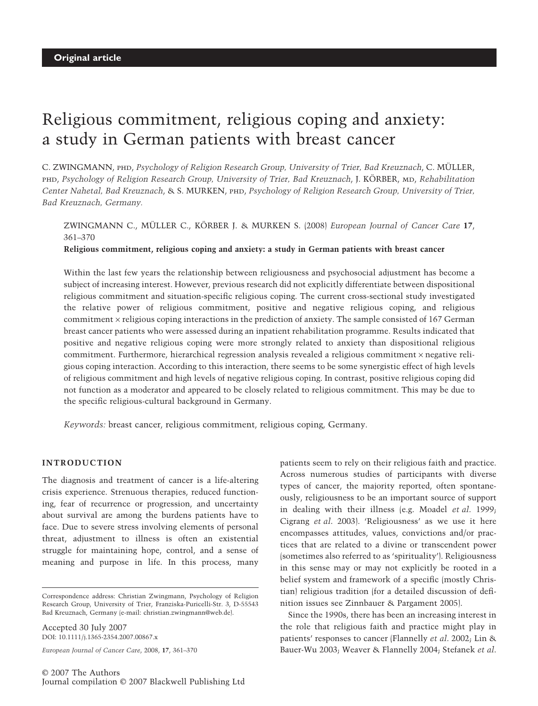# Religious commitment, religious coping and anxiety: a study in German patients with breast cancer

C. ZWINGMANN, phd, *Psychology of Religion Research Group, University of Trier, Bad Kreuznach*, C. MÜLLER, phd, *Psychology of Religion Research Group, University of Trier, Bad Kreuznach*, J. KÖRBER, md, *Rehabilitation Center Nahetal, Bad Kreuznach*, & S. MURKEN, phd, *Psychology of Religion Research Group, University of Trier, Bad Kreuznach, Germany.*

ZWINGMANN C., MÜLLER C., KÖRBER J. & MURKEN S. (2008) *European Journal of Cancer Care* **17**, 361–370

## **Religious commitment, religious coping and anxiety: a study in German patients with breast cancer**

Within the last few years the relationship between religiousness and psychosocial adjustment has become a subject of increasing interest. However, previous research did not explicitly differentiate between dispositional religious commitment and situation-specific religious coping. The current cross-sectional study investigated the relative power of religious commitment, positive and negative religious coping, and religious commitment  $\times$  religious coping interactions in the prediction of anxiety. The sample consisted of 167 German breast cancer patients who were assessed during an inpatient rehabilitation programme. Results indicated that positive and negative religious coping were more strongly related to anxiety than dispositional religious commitment. Furthermore, hierarchical regression analysis revealed a religious commitment × negative religious coping interaction. According to this interaction, there seems to be some synergistic effect of high levels of religious commitment and high levels of negative religious coping. In contrast, positive religious coping did not function as a moderator and appeared to be closely related to religious commitment. This may be due to the specific religious-cultural background in Germany.

*Keywords:* breast cancer, religious commitment, religious coping, Germany.

## **INTRODUCTION**

The diagnosis and treatment of cancer is a life-altering crisis experience. Strenuous therapies, reduced functioning, fear of recurrence or progression, and uncertainty about survival are among the burdens patients have to face. Due to severe stress involving elements of personal threat, adjustment to illness is often an existential struggle for maintaining hope, control, and a sense of meaning and purpose in life. In this process, many

Accepted 30 July 2007 DOI: 10.1111/j.1365-2354.2007.00867.x

*European Journal of Cancer Care*, 2008, **17**, 361–370

© 2007 The Authors Journal compilation © 2007 Blackwell Publishing Ltd patients seem to rely on their religious faith and practice. Across numerous studies of participants with diverse types of cancer, the majority reported, often spontaneously, religiousness to be an important source of support in dealing with their illness (e.g. Moadel *et al*. 1999; Cigrang *et al*. 2003). 'Religiousness' as we use it here encompasses attitudes, values, convictions and/or practices that are related to a divine or transcendent power (sometimes also referred to as 'spirituality'). Religiousness in this sense may or may not explicitly be rooted in a belief system and framework of a specific (mostly Christian) religious tradition (for a detailed discussion of definition issues see Zinnbauer & Pargament 2005).

Since the 1990s, there has been an increasing interest in the role that religious faith and practice might play in patients' responses to cancer (Flannelly *et al*. 2002; Lin & Bauer-Wu 2003; Weaver & Flannelly 2004; Stefanek *et al*.

Correspondence address: Christian Zwingmann, Psychology of Religion Research Group, University of Trier, Franziska-Puricelli-Str. 3, D-55543 Bad Kreuznach, Germany (e-mail: christian[.zwingmann@web.de\).](mailto:zwingmann@web.de)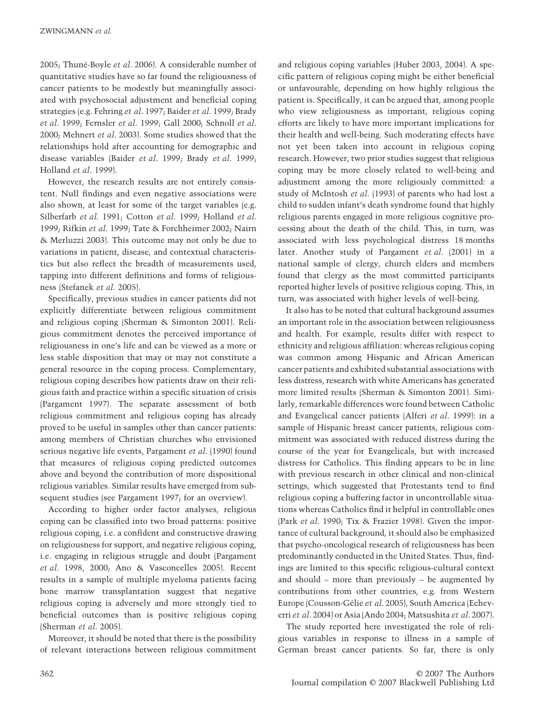2005; Thuné-Boyle *et al*. 2006). A considerable number of quantitative studies have so far found the religiousness of cancer patients to be modestly but meaningfully associated with psychosocial adjustment and beneficial coping strategies (e.g. Fehring *et al*. 1997; Baider *et al*. 1999; Brady *et al*. 1999; Fernsler *et al*. 1999; Gall 2000; Schnoll *et al*. 2000; Mehnert *et al*. 2003). Some studies showed that the relationships hold after accounting for demographic and disease variables (Baider *et al*. 1999; Brady *et al*. 1999; Holland *et al*. 1999).

However, the research results are not entirely consistent. Null findings and even negative associations were also shown, at least for some of the target variables (e.g. Silberfarb *et al*. 1991; Cotton *et al*. 1999; Holland *et al*. 1999; Rifkin *et al*. 1999; Tate & Forchheimer 2002; Nairn & Merluzzi 2003). This outcome may not only be due to variations in patient, disease, and contextual characteristics but also reflect the breadth of measurements used, tapping into different definitions and forms of religiousness (Stefanek *et al*. 2005).

Specifically, previous studies in cancer patients did not explicitly differentiate between religious commitment and religious coping (Sherman & Simonton 2001). Religious commitment denotes the perceived importance of religiousness in one's life and can be viewed as a more or less stable disposition that may or may not constitute a general resource in the coping process. Complementary, religious coping describes how patients draw on their religious faith and practice within a specific situation of crisis (Pargament 1997). The separate assessment of both religious commitment and religious coping has already proved to be useful in samples other than cancer patients: among members of Christian churches who envisioned serious negative life events, Pargament *et al*. (1990) found that measures of religious coping predicted outcomes above and beyond the contribution of more dispositional religious variables. Similar results have emerged from subsequent studies (see Pargament 1997; for an overview).

According to higher order factor analyses, religious coping can be classified into two broad patterns: positive religious coping, i.e. a confident and constructive drawing on religiousness for support, and negative religious coping, i.e. engaging in religious struggle and doubt (Pargament *et al*. 1998, 2000; Ano & Vasconcelles 2005). Recent results in a sample of multiple myeloma patients facing bone marrow transplantation suggest that negative religious coping is adversely and more strongly tied to beneficial outcomes than is positive religious coping (Sherman *et al*. 2005).

Moreover, it should be noted that there is the possibility of relevant interactions between religious commitment and religious coping variables (Huber 2003, 2004). A specific pattern of religious coping might be either beneficial or unfavourable, depending on how highly religious the patient is. Specifically, it can be argued that, among people who view religiousness as important, religious coping efforts are likely to have more important implications for their health and well-being. Such moderating effects have not yet been taken into account in religious coping research. However, two prior studies suggest that religious coping may be more closely related to well-being and adjustment among the more religiously committed: a study of McIntosh *et al*. (1993) of parents who had lost a child to sudden infant's death syndrome found that highly religious parents engaged in more religious cognitive processing about the death of the child. This, in turn, was associated with less psychological distress 18 months later. Another study of Pargament *et al*. (2001) in a national sample of clergy, church elders and members found that clergy as the most committed participants reported higher levels of positive religious coping. This, in turn, was associated with higher levels of well-being.

It also has to be noted that cultural background assumes an important role in the association between religiousness and health. For example, results differ with respect to ethnicity and religious affiliation: whereas religious coping was common among Hispanic and African American cancer patients and exhibited substantial associations with less distress, research with white Americans has generated more limited results (Sherman & Simonton 2001). Similarly, remarkable differences were found between Catholic and Evangelical cancer patients (Alferi *et al*. 1999): in a sample of Hispanic breast cancer patients, religious commitment was associated with reduced distress during the course of the year for Evangelicals, but with increased distress for Catholics. This finding appears to be in line with previous research in other clinical and non-clinical settings, which suggested that Protestants tend to find religious coping a buffering factor in uncontrollable situations whereas Catholics find it helpful in controllable ones (Park *et al*. 1990; Tix & Frazier 1998). Given the importance of cultural background, it should also be emphasized that psycho-oncological research of religiousness has been predominantly conducted in the United States. Thus, findings are limited to this specific religious-cultural context and should – more than previously – be augmented by contributions from other countries, e.g. from Western Europe (Cousson-Gélie *et al*. 2005), South America (Echeverri *et al*. 2004) or Asia (Ando 2004; Matsushita *et al*. 2007).

The study reported here investigated the role of religious variables in response to illness in a sample of German breast cancer patients. So far, there is only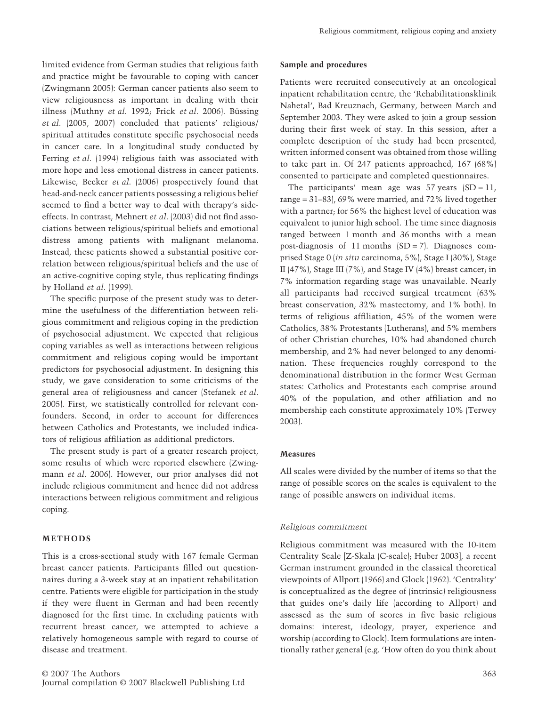limited evidence from German studies that religious faith and practice might be favourable to coping with cancer (Zwingmann 2005): German cancer patients also seem to view religiousness as important in dealing with their illness (Muthny *et al*. 1992; Frick *et al*. 2006). Büssing *et al*. (2005, 2007) concluded that patients' religious/ spiritual attitudes constitute specific psychosocial needs in cancer care. In a longitudinal study conducted by Ferring *et al*. (1994) religious faith was associated with more hope and less emotional distress in cancer patients. Likewise, Becker *et al*. (2006) prospectively found that head-and-neck cancer patients possessing a religious belief seemed to find a better way to deal with therapy's sideeffects. In contrast, Mehnert *et al*. (2003) did not find associations between religious/spiritual beliefs and emotional distress among patients with malignant melanoma. Instead, these patients showed a substantial positive correlation between religious/spiritual beliefs and the use of an active-cognitive coping style, thus replicating findings by Holland *et al*. (1999).

The specific purpose of the present study was to determine the usefulness of the differentiation between religious commitment and religious coping in the prediction of psychosocial adjustment. We expected that religious coping variables as well as interactions between religious commitment and religious coping would be important predictors for psychosocial adjustment. In designing this study, we gave consideration to some criticisms of the general area of religiousness and cancer (Stefanek *et al*. 2005). First, we statistically controlled for relevant confounders. Second, in order to account for differences between Catholics and Protestants, we included indicators of religious affiliation as additional predictors.

The present study is part of a greater research project, some results of which were reported elsewhere (Zwingmann *et al*. 2006). However, our prior analyses did not include religious commitment and hence did not address interactions between religious commitment and religious coping.

#### **METHODS**

This is a cross-sectional study with 167 female German breast cancer patients. Participants filled out questionnaires during a 3-week stay at an inpatient rehabilitation centre. Patients were eligible for participation in the study if they were fluent in German and had been recently diagnosed for the first time. In excluding patients with recurrent breast cancer, we attempted to achieve a relatively homogeneous sample with regard to course of disease and treatment.

#### **Sample and procedures**

Patients were recruited consecutively at an oncological inpatient rehabilitation centre, the 'Rehabilitationsklinik Nahetal', Bad Kreuznach, Germany, between March and September 2003. They were asked to join a group session during their first week of stay. In this session, after a complete description of the study had been presented, written informed consent was obtained from those willing to take part in. Of 247 patients approached, 167 (68%) consented to participate and completed questionnaires.

The participants' mean age was  $57$  years  $(SD = 11)$ , range = 31–83), 69% were married, and 72% lived together with a partner; for 56% the highest level of education was equivalent to junior high school. The time since diagnosis ranged between 1 month and 36 months with a mean post-diagnosis of 11 months  $(SD = 7)$ . Diagnoses comprised Stage 0 (*in situ* carcinoma, 5%), Stage I (30%), Stage II (47%), Stage III (7%), and Stage IV (4%) breast cancer; in 7% information regarding stage was unavailable. Nearly all participants had received surgical treatment (63% breast conservation, 32% mastectomy, and 1% both). In terms of religious affiliation, 45% of the women were Catholics, 38% Protestants (Lutherans), and 5% members of other Christian churches, 10% had abandoned church membership, and 2% had never belonged to any denomination. These frequencies roughly correspond to the denominational distribution in the former West German states: Catholics and Protestants each comprise around 40% of the population, and other affiliation and no membership each constitute approximately 10% (Terwey 2003).

#### **Measures**

All scales were divided by the number of items so that the range of possible scores on the scales is equivalent to the range of possible answers on individual items.

#### *Religious commitment*

Religious commitment was measured with the 10-item Centrality Scale [Z-Skala (C-scale); Huber 2003], a recent German instrument grounded in the classical theoretical viewpoints of Allport (1966) and Glock (1962). 'Centrality' is conceptualized as the degree of (intrinsic) religiousness that guides one's daily life (according to Allport) and assessed as the sum of scores in five basic religious domains: interest, ideology, prayer, experience and worship (according to Glock). Item formulations are intentionally rather general (e.g. 'How often do you think about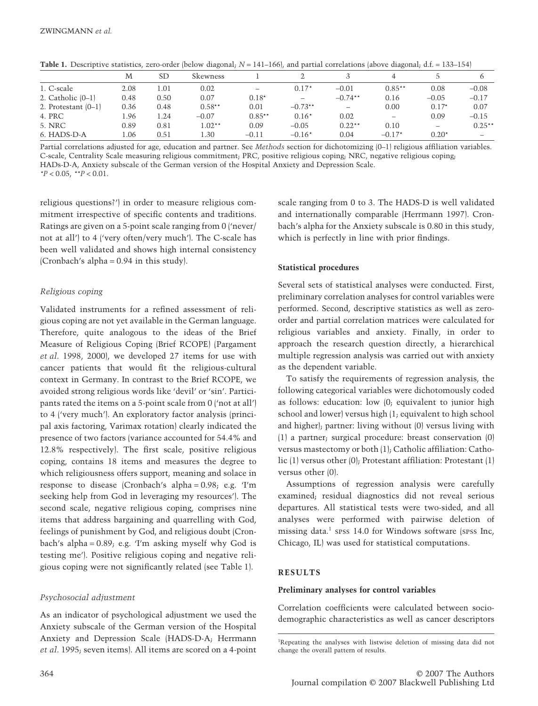|                       | M    | <b>SD</b> | Skewness  |                          |                          |                          |                          |                          |                          |
|-----------------------|------|-----------|-----------|--------------------------|--------------------------|--------------------------|--------------------------|--------------------------|--------------------------|
| 1. C-scale            | 2.08 | 1.01      | 0.02      | $\overline{\phantom{0}}$ | $0.17*$                  | $-0.01$                  | $0.85***$                | 0.08                     | $-0.08$                  |
| 2. Catholic $(0-1)$   | 0.48 | 0.50      | 0.07      | $0.18*$                  | $\overline{\phantom{m}}$ | $-0.74**$                | 0.16                     | $-0.05$                  | $-0.17$                  |
| 2. Protestant $(0-1)$ | 0.36 | 0.48      | $0.58***$ | 0.01                     | $-0.73**$                | $\overline{\phantom{a}}$ | 0.00                     | $0.17*$                  | 0.07                     |
| 4. PRC                | 1.96 | 1.24      | $-0.07$   | $0.85***$                | $0.16*$                  | 0.02                     | $\overline{\phantom{m}}$ | 0.09                     | $-0.15$                  |
| 5. NRC                | 0.89 | 0.81      | $1.02**$  | 0.09                     | $-0.05$                  | $0.22**$                 | 0.10                     | $\overline{\phantom{a}}$ | $0.25***$                |
| 6. HADS-D-A           | .06  | 0.51      | .30       | $-0.11$                  | $-0.16*$                 | 0.04                     | $-0.17*$                 | $0.20*$                  | $\overline{\phantom{a}}$ |

**Table 1.** Descriptive statistics, zero-order (below diagonal; *N* = 141–166), and partial correlations (above diagonal; d.f. = 133–154)

Partial correlations adjusted for age, education and partner. See *Methods* section for dichotomizing (0–1) religious affiliation variables. C-scale, Centrality Scale measuring religious commitment; PRC, positive religious coping; NRC, negative religious coping; HADs-D-A, Anxiety subscale of the German version of the Hospital Anxiety and Depression Scale.  $*P < 0.05$ ,  $*P < 0.01$ .

religious questions?') in order to measure religious commitment irrespective of specific contents and traditions. Ratings are given on a 5-point scale ranging from 0 ('never/ not at all') to 4 ('very often/very much'). The C-scale has been well validated and shows high internal consistency (Cronbach's alpha = 0.94 in this study).

### *Religious coping*

Validated instruments for a refined assessment of religious coping are not yet available in the German language. Therefore, quite analogous to the ideas of the Brief Measure of Religious Coping (Brief RCOPE) (Pargament *et al*. 1998, 2000), we developed 27 items for use with cancer patients that would fit the religious-cultural context in Germany. In contrast to the Brief RCOPE, we avoided strong religious words like 'devil' or 'sin'. Participants rated the items on a 5-point scale from 0 ('not at all') to 4 ('very much'). An exploratory factor analysis (principal axis factoring, Varimax rotation) clearly indicated the presence of two factors (variance accounted for 54.4% and 12.8% respectively). The first scale, positive religious coping, contains 18 items and measures the degree to which religiousness offers support, meaning and solace in response to disease (Cronbach's alpha = 0.98; e.g. 'I'm seeking help from God in leveraging my resources'). The second scale, negative religious coping, comprises nine items that address bargaining and quarrelling with God, feelings of punishment by God, and religious doubt (Cronbach's alpha = 0.89; e.g. 'I'm asking myself why God is testing me'). Positive religious coping and negative religious coping were not significantly related (see Table 1).

*Psychosocial adjustment*

As an indicator of psychological adjustment we used the Anxiety subscale of the German version of the Hospital Anxiety and Depression Scale (HADS-D-A; Herrmann *et al*. 1995; seven items). All items are scored on a 4-point scale ranging from 0 to 3. The HADS-D is well validated and internationally comparable (Herrmann 1997). Cronbach's alpha for the Anxiety subscale is 0.80 in this study, which is perfectly in line with prior findings.

## **Statistical procedures**

Several sets of statistical analyses were conducted. First, preliminary correlation analyses for control variables were performed. Second, descriptive statistics as well as zeroorder and partial correlation matrices were calculated for religious variables and anxiety. Finally, in order to approach the research question directly, a hierarchical multiple regression analysis was carried out with anxiety as the dependent variable.

To satisfy the requirements of regression analysis, the following categorical variables were dichotomously coded as follows: education: low (0; equivalent to junior high school and lower) versus high (1; equivalent to high school and higher); partner: living without (0) versus living with (1) a partner; surgical procedure: breast conservation (0) versus mastectomy or both (1); Catholic affiliation: Catholic (1) versus other (0); Protestant affiliation: Protestant (1) versus other (0).

Assumptions of regression analysis were carefully examined; residual diagnostics did not reveal serious departures. All statistical tests were two-sided, and all analyses were performed with pairwise deletion of missing data.<sup>1</sup> spss 14.0 for Windows software (spss Inc, Chicago, IL) was used for statistical computations.

### **RESULTS**

### **Preliminary analyses for control variables**

Correlation coefficients were calculated between sociodemographic characteristics as well as cancer descriptors

<sup>&</sup>lt;sup>1</sup>Repeating the analyses with listwise deletion of missing data did not change the overall pattern of results.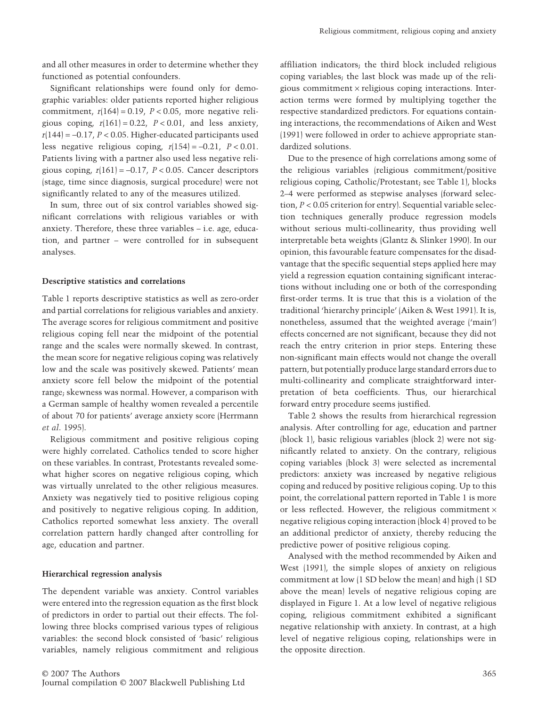and all other measures in order to determine whether they functioned as potential confounders.

Significant relationships were found only for demographic variables: older patients reported higher religious commitment,  $r(164) = 0.19$ ,  $P < 0.05$ , more negative religious coping,  $r(161) = 0.22$ ,  $P < 0.01$ , and less anxiety,  $r(144) = -0.17$ ,  $P < 0.05$ . Higher-educated participants used less negative religious coping,  $r(154) = -0.21$ ,  $P < 0.01$ . Patients living with a partner also used less negative religious coping,  $r(161) = -0.17$ ,  $P < 0.05$ . Cancer descriptors (stage, time since diagnosis, surgical procedure) were not significantly related to any of the measures utilized.

In sum, three out of six control variables showed significant correlations with religious variables or with anxiety. Therefore, these three variables – i.e. age, education, and partner – were controlled for in subsequent analyses.

#### **Descriptive statistics and correlations**

Table 1 reports descriptive statistics as well as zero-order and partial correlations for religious variables and anxiety. The average scores for religious commitment and positive religious coping fell near the midpoint of the potential range and the scales were normally skewed. In contrast, the mean score for negative religious coping was relatively low and the scale was positively skewed. Patients' mean anxiety score fell below the midpoint of the potential range; skewness was normal. However, a comparison with a German sample of healthy women revealed a percentile of about 70 for patients' average anxiety score (Herrmann *et al*. 1995).

Religious commitment and positive religious coping were highly correlated. Catholics tended to score higher on these variables. In contrast, Protestants revealed somewhat higher scores on negative religious coping, which was virtually unrelated to the other religious measures. Anxiety was negatively tied to positive religious coping and positively to negative religious coping. In addition, Catholics reported somewhat less anxiety. The overall correlation pattern hardly changed after controlling for age, education and partner.

#### **Hierarchical regression analysis**

The dependent variable was anxiety. Control variables were entered into the regression equation as the first block of predictors in order to partial out their effects. The following three blocks comprised various types of religious variables: the second block consisted of 'basic' religious variables, namely religious commitment and religious affiliation indicators; the third block included religious coping variables; the last block was made up of the religious commitment  $\times$  religious coping interactions. Interaction terms were formed by multiplying together the respective standardized predictors. For equations containing interactions, the recommendations of Aiken and West (1991) were followed in order to achieve appropriate standardized solutions.

Due to the presence of high correlations among some of the religious variables (religious commitment/positive religious coping, Catholic/Protestant; see Table 1), blocks 2–4 were performed as stepwise analyses (forward selection, *P* < 0.05 criterion for entry). Sequential variable selection techniques generally produce regression models without serious multi-collinearity, thus providing well interpretable beta weights (Glantz & Slinker 1990). In our opinion, this favourable feature compensates for the disadvantage that the specific sequential steps applied here may yield a regression equation containing significant interactions without including one or both of the corresponding first-order terms. It is true that this is a violation of the traditional 'hierarchy principle' (Aiken & West 1991). It is, nonetheless, assumed that the weighted average ('main') effects concerned are not significant, because they did not reach the entry criterion in prior steps. Entering these non-significant main effects would not change the overall pattern, but potentially produce large standard errors due to multi-collinearity and complicate straightforward interpretation of beta coefficients. Thus, our hierarchical forward entry procedure seems justified.

Table 2 shows the results from hierarchical regression analysis. After controlling for age, education and partner (block 1), basic religious variables (block 2) were not significantly related to anxiety. On the contrary, religious coping variables (block 3) were selected as incremental predictors: anxiety was increased by negative religious coping and reduced by positive religious coping. Up to this point, the correlational pattern reported in Table 1 is more or less reflected. However, the religious commitment  $\times$ negative religious coping interaction (block 4) proved to be an additional predictor of anxiety, thereby reducing the predictive power of positive religious coping.

Analysed with the method recommended by Aiken and West (1991), the simple slopes of anxiety on religious commitment at low (1 SD below the mean) and high (1 SD above the mean) levels of negative religious coping are displayed in Figure 1. At a low level of negative religious coping, religious commitment exhibited a significant negative relationship with anxiety. In contrast, at a high level of negative religious coping, relationships were in the opposite direction.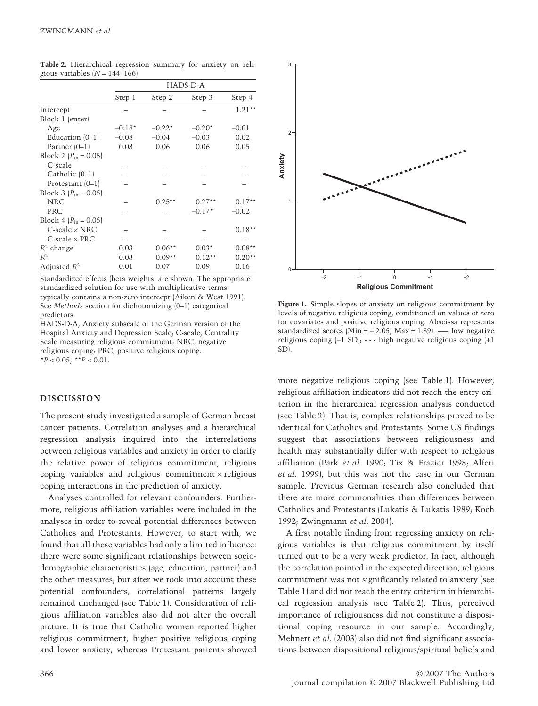| Table 2. Hierarchical regression summary for anxiety on reli- |  |  |  |
|---------------------------------------------------------------|--|--|--|
| gious variables $(N = 144-166)$                               |  |  |  |

|                           | HADS-D-A |           |          |           |  |  |
|---------------------------|----------|-----------|----------|-----------|--|--|
|                           | Step 1   | Step 2    | Step 3   | Step 4    |  |  |
| Intercept                 |          |           |          | $1.21***$ |  |  |
| Block 1 (enter)           |          |           |          |           |  |  |
| Age                       | $-0.18*$ | $-0.22*$  | $-0.20*$ | $-0.01$   |  |  |
| Education (0-1)           | $-0.08$  | $-0.04$   | $-0.03$  | 0.02      |  |  |
| Partner $(0-1)$           | 0.03     | 0.06      | 0.06     | 0.05      |  |  |
| Block 2 $(P_{in} = 0.05)$ |          |           |          |           |  |  |
| C-scale                   |          |           |          |           |  |  |
| Catholic $(0-1)$          |          |           |          |           |  |  |
| Protestant (0-1)          |          |           |          |           |  |  |
| Block 3 $(P_{in} = 0.05)$ |          |           |          |           |  |  |
| <b>NRC</b>                |          | $0.25***$ | $0.27**$ | $0.17**$  |  |  |
| PRC                       |          |           | $-0.17*$ | $-0.02$   |  |  |
| Block 4 $(P_{in} = 0.05)$ |          |           |          |           |  |  |
| $C$ -scale $\times$ NRC   |          |           |          | $0.18***$ |  |  |
| $C$ -scale $\times$ PRC   |          |           |          |           |  |  |
| $R^2$ change              | 0.03     | $0.06***$ | $0.03*$  | $0.08**$  |  |  |
| $R^2$                     | 0.03     | $0.09**$  | $0.12**$ | $0.20**$  |  |  |
| Adjusted $R^2$            | 0.01     | 0.07      | 0.09     | 0.16      |  |  |

Standardized effects (beta weights) are shown. The appropriate standardized solution for use with multiplicative terms typically contains a non-zero intercept (Aiken & West 1991). See *Methods* section for dichotomizing (0–1) categorical predictors.

HADS-D-A, Anxiety subscale of the German version of the Hospital Anxiety and Depression Scale; C-scale, Centrality Scale measuring religious commitment; NRC, negative religious coping; PRC, positive religious coping.  $*P < 0.05$ ,  $*P < 0.01$ .

## **DISCUSSION**

The present study investigated a sample of German breast cancer patients. Correlation analyses and a hierarchical regression analysis inquired into the interrelations between religious variables and anxiety in order to clarify the relative power of religious commitment, religious coping variables and religious commitment  $\times$  religious coping interactions in the prediction of anxiety.

Analyses controlled for relevant confounders. Furthermore, religious affiliation variables were included in the analyses in order to reveal potential differences between Catholics and Protestants. However, to start with, we found that all these variables had only a limited influence: there were some significant relationships between sociodemographic characteristics (age, education, partner) and the other measures; but after we took into account these potential confounders, correlational patterns largely remained unchanged (see Table 1). Consideration of religious affiliation variables also did not alter the overall picture. It is true that Catholic women reported higher religious commitment, higher positive religious coping and lower anxiety, whereas Protestant patients showed



**Figure 1.** Simple slopes of anxiety on religious commitment by levels of negative religious coping, conditioned on values of zero for covariates and positive religious coping. Abscissa represents standardized scores  $(Min = -2.05, Max = 1.89)$ . — low negative religious coping  $(-1 \text{ SD})$ ;  $-$  - high negative religious coping  $(+1)$ SD).

more negative religious coping (see Table 1). However, religious affiliation indicators did not reach the entry criterion in the hierarchical regression analysis conducted (see Table 2). That is, complex relationships proved to be identical for Catholics and Protestants. Some US findings suggest that associations between religiousness and health may substantially differ with respect to religious affiliation (Park *et al*. 1990; Tix & Frazier 1998; Alferi *et al*. 1999), but this was not the case in our German sample. Previous German research also concluded that there are more commonalities than differences between Catholics and Protestants (Lukatis & Lukatis 1989; Koch 1992; Zwingmann *et al*. 2004).

A first notable finding from regressing anxiety on religious variables is that religious commitment by itself turned out to be a very weak predictor. In fact, although the correlation pointed in the expected direction, religious commitment was not significantly related to anxiety (see Table 1) and did not reach the entry criterion in hierarchical regression analysis (see Table 2). Thus, perceived importance of religiousness did not constitute a dispositional coping resource in our sample. Accordingly, Mehnert *et al*. (2003) also did not find significant associations between dispositional religious/spiritual beliefs and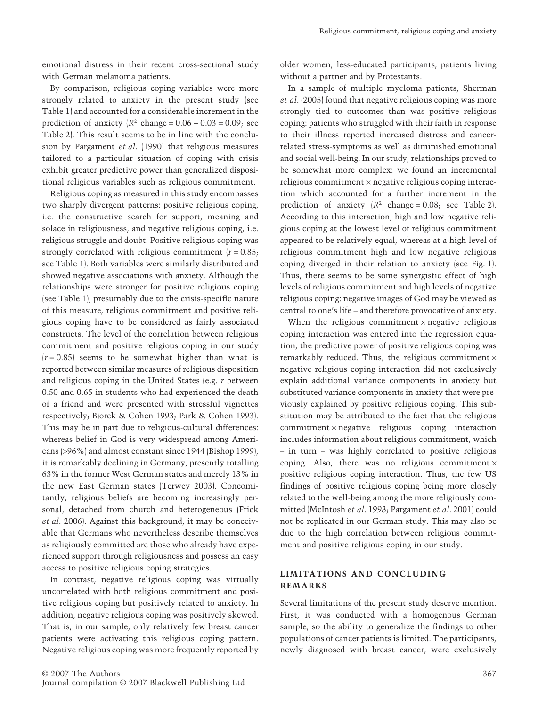emotional distress in their recent cross-sectional study with German melanoma patients.

By comparison, religious coping variables were more strongly related to anxiety in the present study (see Table 1) and accounted for a considerable increment in the prediction of anxiety  $(R^2 \text{ change} = 0.06 + 0.03 = 0.09)$ ; see Table 2). This result seems to be in line with the conclusion by Pargament *et al*. (1990) that religious measures tailored to a particular situation of coping with crisis exhibit greater predictive power than generalized dispositional religious variables such as religious commitment.

Religious coping as measured in this study encompasses two sharply divergent patterns: positive religious coping, i.e. the constructive search for support, meaning and solace in religiousness, and negative religious coping, i.e. religious struggle and doubt. Positive religious coping was strongly correlated with religious commitment  $(r = 0.85)$ ; see Table 1). Both variables were similarly distributed and showed negative associations with anxiety. Although the relationships were stronger for positive religious coping (see Table 1), presumably due to the crisis-specific nature of this measure, religious commitment and positive religious coping have to be considered as fairly associated constructs. The level of the correlation between religious commitment and positive religious coping in our study  $(r = 0.85)$  seems to be somewhat higher than what is reported between similar measures of religious disposition and religious coping in the United States (e.g. *r* between 0.50 and 0.65 in students who had experienced the death of a friend and were presented with stressful vignettes respectively; Bjorck & Cohen 1993; Park & Cohen 1993). This may be in part due to religious-cultural differences: whereas belief in God is very widespread among Americans (>96%) and almost constant since 1944 (Bishop 1999), it is remarkably declining in Germany, presently totalling 63% in the former West German states and merely 13% in the new East German states (Terwey 2003). Concomitantly, religious beliefs are becoming increasingly personal, detached from church and heterogeneous (Frick *et al*. 2006). Against this background, it may be conceivable that Germans who nevertheless describe themselves as religiously committed are those who already have experienced support through religiousness and possess an easy access to positive religious coping strategies.

In contrast, negative religious coping was virtually uncorrelated with both religious commitment and positive religious coping but positively related to anxiety. In addition, negative religious coping was positively skewed. That is, in our sample, only relatively few breast cancer patients were activating this religious coping pattern. Negative religious coping was more frequently reported by older women, less-educated participants, patients living without a partner and by Protestants.

In a sample of multiple myeloma patients, Sherman *et al*. (2005) found that negative religious coping was more strongly tied to outcomes than was positive religious coping: patients who struggled with their faith in response to their illness reported increased distress and cancerrelated stress-symptoms as well as diminished emotional and social well-being. In our study, relationships proved to be somewhat more complex: we found an incremental  $religious commitment \times negative$  religious coping interaction which accounted for a further increment in the prediction of anxiety  $\langle R^2 \rangle$  change = 0.08; see Table 2). According to this interaction, high and low negative religious coping at the lowest level of religious commitment appeared to be relatively equal, whereas at a high level of religious commitment high and low negative religious coping diverged in their relation to anxiety (see Fig. 1). Thus, there seems to be some synergistic effect of high levels of religious commitment and high levels of negative religious coping: negative images of God may be viewed as central to one's life – and therefore provocative of anxiety.

When the religious commitment  $\times$  negative religious coping interaction was entered into the regression equation, the predictive power of positive religious coping was remarkably reduced. Thus, the religious commitment  $\times$ negative religious coping interaction did not exclusively explain additional variance components in anxiety but substituted variance components in anxiety that were previously explained by positive religious coping. This substitution may be attributed to the fact that the religious  $commitment \times negative$  religious coping interaction includes information about religious commitment, which – in turn – was highly correlated to positive religious coping. Also, there was no religious commitment  $\times$ positive religious coping interaction. Thus, the few US findings of positive religious coping being more closely related to the well-being among the more religiously committed (McIntosh *et al*. 1993; Pargament *et al*. 2001) could not be replicated in our German study. This may also be due to the high correlation between religious commitment and positive religious coping in our study.

# **LIMITATIONS AND CONCLUDING REMARKS**

Several limitations of the present study deserve mention. First, it was conducted with a homogenous German sample, so the ability to generalize the findings to other populations of cancer patients is limited. The participants, newly diagnosed with breast cancer, were exclusively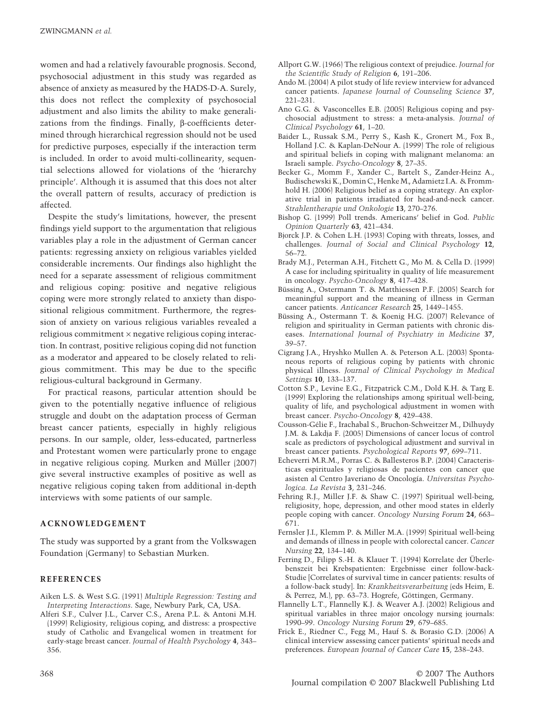women and had a relatively favourable prognosis. Second, psychosocial adjustment in this study was regarded as absence of anxiety as measured by the HADS-D-A. Surely, this does not reflect the complexity of psychosocial adjustment and also limits the ability to make generalizations from the findings. Finally, b-coefficients determined through hierarchical regression should not be used for predictive purposes, especially if the interaction term is included. In order to avoid multi-collinearity, sequential selections allowed for violations of the 'hierarchy principle'. Although it is assumed that this does not alter the overall pattern of results, accuracy of prediction is affected.

Despite the study's limitations, however, the present findings yield support to the argumentation that religious variables play a role in the adjustment of German cancer patients: regressing anxiety on religious variables yielded considerable increments. Our findings also highlight the need for a separate assessment of religious commitment and religious coping: positive and negative religious coping were more strongly related to anxiety than dispositional religious commitment. Furthermore, the regression of anxiety on various religious variables revealed a  $religious commitment \times negative religious coping interac$ tion. In contrast, positive religious coping did not function as a moderator and appeared to be closely related to religious commitment. This may be due to the specific religious-cultural background in Germany.

For practical reasons, particular attention should be given to the potentially negative influence of religious struggle and doubt on the adaptation process of German breast cancer patients, especially in highly religious persons. In our sample, older, less-educated, partnerless and Protestant women were particularly prone to engage in negative religious coping. Murken and Müller (2007) give several instructive examples of positive as well as negative religious coping taken from additional in-depth interviews with some patients of our sample.

## **ACKNOWLEDGEMENT**

The study was supported by a grant from the Volkswagen Foundation (Germany) to Sebastian Murken.

#### **REFERENCES**

- Aiken L.S. & West S.G. (1991) *Multiple Regression: Testing and Interpreting Interactions*. Sage, Newbury Park, CA, USA.
- Alferi S.F., Culver J.L., Carver C.S., Arena P.L. & Antoni M.H. (1999) Religiosity, religious coping, and distress: a prospective study of Catholic and Evangelical women in treatment for early-stage breast cancer. *Journal of Health Psychology* **4**, 343– 356.
- Allport G.W. (1966) The religious context of prejudice. *Journal for the Scientific Study of Religion* **6**, 191–206.
- Ando M. (2004) A pilot study of life review interview for advanced cancer patients. *Japanese Journal of Counseling Science* **37**, 221–231.
- Ano G.G. & Vasconcelles E.B. (2005) Religious coping and psychosocial adjustment to stress: a meta-analysis. *Journal of Clinical Psychology* **61**, 1–20.
- Baider L., Russak S.M., Perry S., Kash K., Gronert M., Fox B., Holland J.C. & Kaplan-DeNour A. (1999) The role of religious and spiritual beliefs in coping with malignant melanoma: an Israeli sample. *Psycho-Oncology* **8**, 27–35.
- Becker G., Momm F., Xander C., Bartelt S., Zander-Heinz A., Budischewski K.,Domin C., Henke M., Adamietz I.A. & Frommhold H. (2006) Religious belief as a coping strategy. An explorative trial in patients irradiated for head-and-neck cancer. *Strahlentherapie und Onkologie* **13**, 270–276.
- Bishop G. (1999) Poll trends. Americans' belief in God. *Public Opinion Quarterly* **63**, 421–434.
- Bjorck J.P. & Cohen L.H. (1993) Coping with threats, losses, and challenges. *Journal of Social and Clinical Psychology* **12**, 56–72.
- Brady M.J., Peterman A.H., Fitchett G., Mo M. & Cella D. (1999) A case for including spirituality in quality of life measurement in oncology. *Psycho-Oncology* **8**, 417–428.
- Büssing A., Ostermann T. & Matthiessen P.F. (2005) Search for meaningful support and the meaning of illness in German cancer patients. *Anticancer Research* **25**, 1449–1455.
- Büssing A., Ostermann T. & Koenig H.G. (2007) Relevance of religion and spirituality in German patients with chronic diseases. *International Journal of Psychiatry in Medicine* **37**, 39–57.
- Cigrang J.A., Hryshko Mullen A. & Peterson A.L. (2003) Spontaneous reports of religious coping by patients with chronic physical illness. *Journal of Clinical Psychology in Medical Settings* **10**, 133–137.
- Cotton S.P., Levine E.G., Fitzpatrick C.M., Dold K.H. & Targ E. (1999) Exploring the relationships among spiritual well-being, quality of life, and psychological adjustment in women with breast cancer. *Psycho-Oncology* **8**, 429–438.
- Cousson-Gélie F., Irachabal S., Bruchon-Schweitzer M., Dilhuydy J.M. & Lakdja F. (2005) Dimensions of cancer locus of control scale as predictors of psychological adjustment and survival in breast cancer patients. *Psychological Reports* **97**, 699–711.
- Echeverri M.R.M., Porras C. & Ballesteros B.P. (2004) Caracteristicas espirituales y religiosas de pacientes con cancer que asisten al Centro Javeriano de Oncología. *Universitas Psychologica. La Revista* **3**, 231–246.
- Fehring R.J., Miller J.F. & Shaw C. (1997) Spiritual well-being, religiosity, hope, depression, and other mood states in elderly people coping with cancer. *Oncology Nursing Forum* **24**, 663– 671.
- Fernsler J.I., Klemm P. & Miller M.A. (1999) Spiritual well-being and demands of illness in people with colorectal cancer. *Cancer Nursing* **22**, 134–140.
- Ferring D., Filipp S.-H. & Klauer T. (1994) Korrelate der Überlebenszeit bei Krebspatienten: Ergebnisse einer follow-back-Studie [Correlates of survival time in cancer patients: results of a follow-back study]. In: *Krankheitsverarbeitung* (eds Heim, E. & Perrez, M.), pp. 63–73. Hogrefe, Göttingen, Germany.
- Flannelly L.T., Flannelly K.J. & Weaver A.J. (2002) Religious and spiritual variables in three major oncology nursing journals: 1990–99. *Oncology Nursing Forum* **29**, 679–685.
- Frick E., Riedner C., Fegg M., Hauf S. & Borasio G.D. (2006) A clinical interview assessing cancer patients' spiritual needs and preferences. *European Journal of Cancer Care* **15**, 238–243.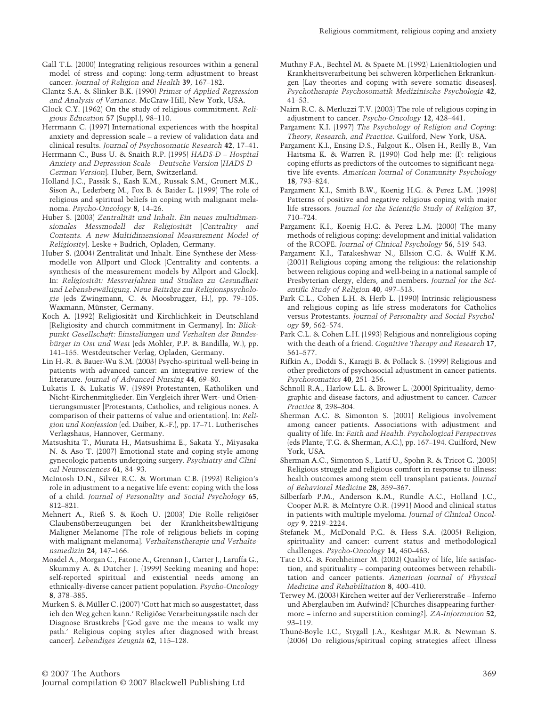- Gall T.L. (2000) Integrating religious resources within a general model of stress and coping: long-term adjustment to breast cancer. *Journal of Religion and Health* **39**, 167–182.
- Glantz S.A. & Slinker B.K. (1990) *Primer of Applied Regression and Analysis of Variance*. McGraw-Hill, New York, USA.
- Glock C.Y. (1962) On the study of religious commitment. *Religious Education* **57** (Suppl.), 98–110.
- Herrmann C. (1997) International experiences with the hospital anxiety and depression scale – a review of validation data and clinical results. *Journal of Psychosomatic Research* **42**, 17–41.
- Herrmann C., Buss U. & Snaith R.P. (1995) *HADS-D Hospital Anxiety and Depression Scale – Deutsche Version* [*HADS-D – German Version*]. Huber, Bern, Switzerland.
- Holland J.C., Passik S., Kash K.M., Russak S.M., Gronert M.K., Sison A., Lederberg M., Fox B. & Baider L. (1999) The role of religious and spiritual beliefs in coping with malignant melanoma. *Psycho-Oncology* **8**, 14–26.
- Huber S. (2003) *Zentralität und Inhalt. Ein neues multidimensionales Messmodell der Religiosität* [*Centrality and Contents. A new Multidimensional Measurement Model of Religiosity*]. Leske + Budrich, Opladen, Germany.
- Huber S. (2004) Zentralität und Inhalt. Eine Synthese der Messmodelle von Allport und Glock [Centrality and contents. a synthesis of the measurement models by Allport and Glock]. In: *Religiosität: Messverfahren und Studien zu Gesundheit und Lebensbewältigung. Neue Beiträge zur Religionspsychologie* (eds Zwingmann, C. & Moosbrugger, H.), pp. 79–105. Waxmann, Münster, Germany.
- Koch A. (1992) Religiosität und Kirchlichkeit in Deutschland [Religiosity and church commitment in Germany]. In: *Blickpunkt Gesellschaft: Einstellungen und Verhalten der Bundesbürger in Ost und West* (eds Mohler, P.P. & Bandilla, W.), pp. 141–155. Westdeutscher Verlag, Opladen, Germany.
- Lin H.-R. & Bauer-Wu S.M. (2003) Psycho-spiritual well-being in patients with advanced cancer: an integrative review of the literature. *Journal of Advanced Nursing* **44**, 69–80.
- Lukatis I. & Lukatis W. (1989) Protestanten, Katholiken und Nicht-Kirchenmitglieder. Ein Vergleich ihrer Wert- und Orientierungsmuster [Protestants, Catholics, and religious nones. A comparison of their patterns of value and orientation]. In: *Religion und Konfession* (ed. Daiber, K.-F.), pp. 17–71. Lutherisches Verlagshaus, Hannover, Germany.
- Matsushita T., Murata H., Matsushima E., Sakata Y., Miyasaka N. & Aso T. (2007) Emotional state and coping style among gynecologic patients undergoing surgery. *Psychiatry and Clinical Neurosciences* **61**, 84–93.
- McIntosh D.N., Silver R.C. & Wortman C.B. (1993) Religion's role in adjustment to a negative life event: coping with the loss of a child. *Journal of Personality and Social Psychology* **65**, 812–821.
- Mehnert A., Rieß S. & Koch U. (2003) Die Rolle religiöser Glaubensüberzeugungen bei der Krankheitsbewältigung Maligner Melanome [The role of religious beliefs in coping with malignant melanoma]. *Verhaltenstherapie und Verhaltensmedizin* **24**, 147–166.
- Moadel A., Morgan C., Fatone A., Grennan J., Carter J., Laruffa G., Skummy A. & Dutcher J. (1999) Seeking meaning and hope: self-reported spiritual and existential needs among an ethnically-diverse cancer patient population. *Psycho-Oncology* **8**, 378–385.
- Murken S. & Müller C. (2007) 'Gott hat mich so ausgestattet, dass ich den Weg gehen kann.' Religiöse Verarbeitungsstile nach der Diagnose Brustkrebs ['God gave me the means to walk my path.' Religious coping styles after diagnosed with breast cancer]. *Lebendiges Zeugnis* **62**, 115–128.
- Muthny F.A., Bechtel M. & Spaete M. (1992) Laienätiologien und Krankheitsverarbeitung bei schweren körperlichen Erkrankungen [Lay theories and coping with severe somatic diseases]. *Psychotherapie Psychosomatik Medizinische Psychologie* **42**, 41–53.
- Nairn R.C. & Merluzzi T.V. (2003) The role of religious coping in adjustment to cancer. *Psycho-Oncology* **12**, 428–441.
- Pargament K.I. (1997) *The Psychology of Religion and Coping: Theory, Research, and Practice*. Guilford, New York, USA.
- Pargament K.I., Ensing D.S., Falgout K., Olsen H., Reilly B., Van Haitsma K. & Warren R. (1990) God help me: (I): religious coping efforts as predictors of the outcomes to significant negative life events. *American Journal of Community Psychology* **18**, 793–824.
- Pargament K.I., Smith B.W., Koenig H.G. & Perez L.M. (1998) Patterns of positive and negative religious coping with major life stressors. *Journal for the Scientific Study of Religion* **37**, 710–724.
- Pargament K.I., Koenig H.G. & Perez L.M. (2000) The many methods of religious coping: development and initial validation of the RCOPE. *Journal of Clinical Psychology* **56**, 519–543.
- Pargament K.I., Tarakeshwar N., Ellsion C.G. & Wulff K.M. (2001) Religious coping among the religious: the relationship between religious coping and well-being in a national sample of Presbyterian clergy, elders, and members. *Journal for the Scientific Study of Religion* **40**, 497–513.
- Park C.L., Cohen L.H. & Herb L. (1990) Intrinsic religiousness and religious coping as life stress moderators for Catholics versus Protestants. *Journal of Personality and Social Psychology* **59**, 562–574.
- Park C.L. & Cohen L.H. (1993) Religious and nonreligious coping with the death of a friend. *Cognitive Therapy and Research* **17**, 561–577.
- Rifkin A., Doddi S., Karagji B. & Pollack S. (1999) Religious and other predictors of psychosocial adjustment in cancer patients. *Psychosomatics* **40**, 251–256.
- Schnoll R.A., Harlow L.L. & Brower L. (2000) Spirituality, demographic and disease factors, and adjustment to cancer. *Cancer Practice* **8**, 298–304.
- Sherman A.C. & Simonton S. (2001) Religious involvement among cancer patients. Associations with adjustment and quality of life. In: *Faith and Health. Psychological Perspectives* (eds Plante, T.G. & Sherman, A.C.), pp. 167–194. Guilford, New York, USA.
- Sherman A.C., Simonton S., Latif U., Spohn R. & Tricot G. (2005) Religious struggle and religious comfort in response to illness: health outcomes among stem cell transplant patients. *Journal of Behavioral Medicine* **28**, 359–367.
- Silberfarb P.M., Anderson K.M., Rundle A.C., Holland J.C., Cooper M.R. & McIntyre O.R. (1991) Mood and clinical status in patients with multiple myeloma. *Journal of Clinical Oncology* **9**, 2219–2224.
- Stefanek M., McDonald P.G. & Hess S.A. (2005) Religion, spirituality and cancer: current status and methodological challenges. *Psycho-Oncology* **14**, 450–463.
- Tate D.G. & Forchheimer M. (2002) Quality of life, life satisfaction, and spirituality – comparing outcomes between rehabilitation and cancer patients. *American Journal of Physical Medicine and Rehabilitation* **8**, 400–410.
- Terwey M. (2003) Kirchen weiter auf der Verliererstraße Inferno und Aberglauben im Aufwind? [Churches disappearing furthermore – inferno and superstition coming?]. *ZA-Information* **52**, 93–119.
- Thuné-Boyle I.C., Stygall J.A., Keshtgar M.R. & Newman S. (2006) Do religious/spiritual coping strategies affect illness